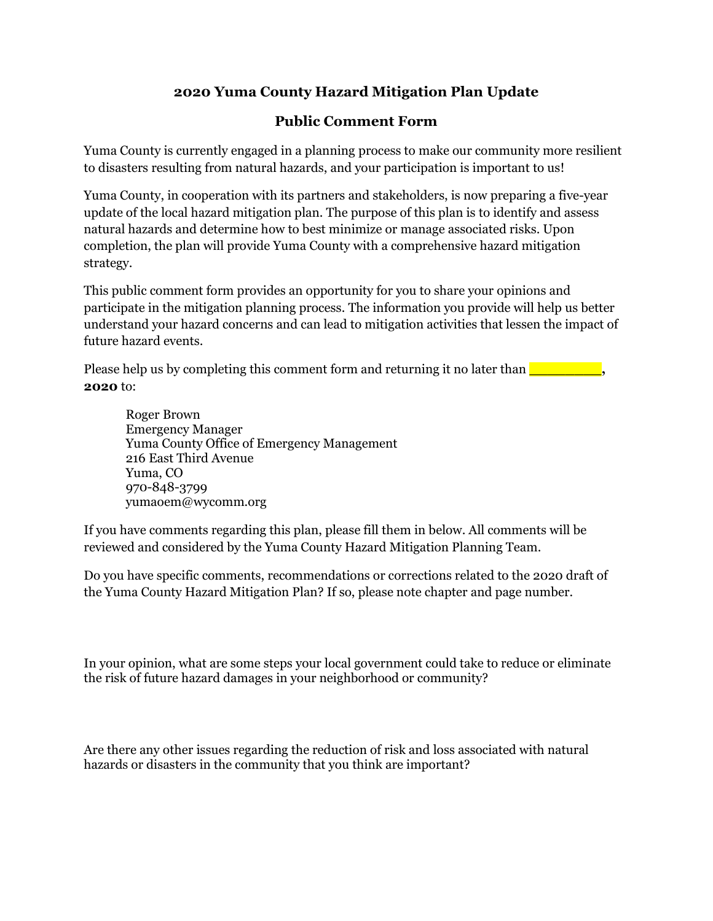## **2020 Yuma County Hazard Mitigation Plan Update**

## **Public Comment Form**

Yuma County is currently engaged in a planning process to make our community more resilient to disasters resulting from natural hazards, and your participation is important to us!

Yuma County, in cooperation with its partners and stakeholders, is now preparing a five-year update of the local hazard mitigation plan. The purpose of this plan is to identify and assess natural hazards and determine how to best minimize or manage associated risks. Upon completion, the plan will provide Yuma County with a comprehensive hazard mitigation strategy.

This public comment form provides an opportunity for you to share your opinions and participate in the mitigation planning process. The information you provide will help us better understand your hazard concerns and can lead to mitigation activities that lessen the impact of future hazard events.

Please help us by completing this comment form and returning it no later than **with the set of the set of the set of the set of the set of the set of the set of the set of the set of the set of the set of the set of the se 2020** to:

Roger Brown Emergency Manager Yuma County Office of Emergency Management 216 East Third Avenue Yuma, CO 970-848-3799 yumaoem@wycomm.org

If you have comments regarding this plan, please fill them in below. All comments will be reviewed and considered by the Yuma County Hazard Mitigation Planning Team.

Do you have specific comments, recommendations or corrections related to the 2020 draft of the Yuma County Hazard Mitigation Plan? If so, please note chapter and page number.

In your opinion, what are some steps your local government could take to reduce or eliminate the risk of future hazard damages in your neighborhood or community?

Are there any other issues regarding the reduction of risk and loss associated with natural hazards or disasters in the community that you think are important?